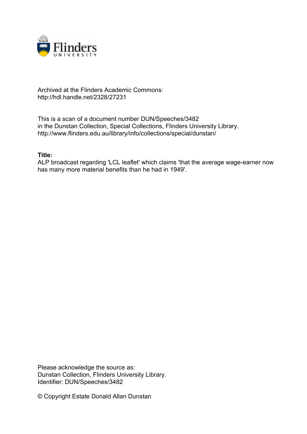

## Archived at the Flinders Academic Commons: http://hdl.handle.net/2328/27231

This is a scan of a document number DUN/Speeches/3482 in the Dunstan Collection, Special Collections, Flinders University Library. http://www.flinders.edu.au/library/info/collections/special/dunstan/

## **Title:**

ALP broadcast regarding 'LCL leaflet' which claims 'that the average wage-earner now has many more material benefits than he had in 1949'.

Please acknowledge the source as: Dunstan Collection, Flinders University Library. Identifier: DUN/Speeches/3482

© Copyright Estate Donald Allan Dunstan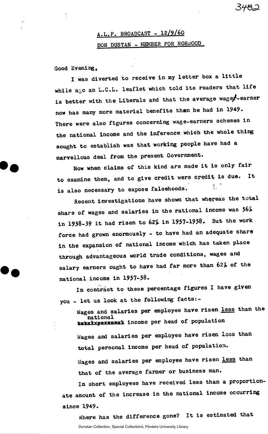## **A.L.P. BROADCAST - 12/9/60 DON DUSTAN - MEMBER FOR NORWOOD**

**Good Evening,** 

**I was diverted to receive in my letter box a little**  while a<sub>S</sub>o an L.C.L. leaflet which told its readers that life is better with the Liberals and that the average wage<sup>2</sup>-earner **now has many more material benefits than he had in 1949. There were also figures concerning wage-earners schemes in the national income and the inference which the whole thing sought to establish was that working people have had a marvellous deal from the present Government.** 

**Now when claims of this kind are made it is only fair to examine them, and to give credit were credit is due. It 'tis also necessary to expose falsehoods.** 

**Recent investigations have shown that whereas the total share of wages and salaries in the rational income was 56% in 1938-39 it had risen to 62% in 1937-1958. But the work force had grown enormously - to have had an adequate share in the expansion of national income which has taken place through advantageous world trade conditions, wages and salary earners ought to have had far more than 62% of the national income in 1957-58.** 

In contrast to these percentage figures I have given **you - let us look at the following facts:-**

**Wages and salaries per employee have risen less than the national ^ .. . income per head of population** 

**Wages and salaries per employee have risen less than total personal income per head of population. Wages and salaries per employee have risen less than that of the average farmer or business man.** 

**In short employees have received less than a proportionate amount of the increase in the national income occurring since 1949.** 

**Where has the difference gone? It is estimated that**  Dunstan Collection, Special Collections, Flinders University Library.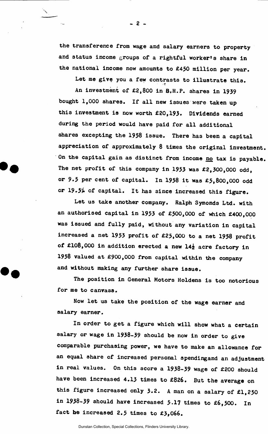**the transferers © from wage and salary earners to property**  and status income groups of a rightful worker's share in **the national income now amounts to £450 million per year.** 

Let me give you a few contrasts to illustrate this.

An investment of £2,800 in B.H.P. shares in 1939 **An investment of £2,800 in B«H.P. shares in 1939 bought 1,000 shares. If all new issues were taken up this investment is now worth £20,193. Dividends earned during the period would have paid for all additional shares excepting the 1958 issue. There has been a capital appreciation of approximately 8 times the original investment. On the capital gain as distinct from income no tax is payable. The net profit of this company in 1953 was £2,300,000 odd, or 9.5 per cent of capital. In 1958 it was £5,800,000 odd or 19.5^ of capital. It has since increased this figure.** 

**Let us take another company. Ralph Symonds Ltd. with an authorised capital in 1953 of £500,000 of which £400,000 was issued and fully paid, without any variation in capital increased a net 1953 profit of £25,000 to a net 1958 profit of £108,000 in addition erected a new 14± acre factory in 1958 valued at £900,000 from capital within the company and without making any further share issue.** 

**The position in General Motors Holdens is too notorious for me to canvass.** 

**Now let us take the position of the wage earner and salary earner.** 

**In order to get a figure which will show what a certain salary or wage in 1938-39 should be now in order to give comparable purchasing power, we have to make an allowance for**  an equal share of increased personal spending and an adjustment **in real values. On this score a 1938-39 wage of £200 should have been increased 4.13 times to £826. But the average on this figure increased only 3.2. A man on a salary of £1,250 in 1938-39 should have increased 5-17 times to £6,500. In fact he increased 2.5 times to £3,066.** 

**- 2 -**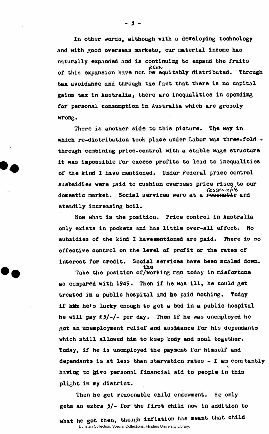**In other words, although with a developing technology and with good overseas markets, our material income has naturally expanded and is continuing to expand the fruits**  *beew*<br>of this expansion have not <del>be</del> equitably distributed. Through tax avoidance and through the fact that there is no capital gains tax in Australia, there are inequalities in spending for personal consumption in Australia which are grossly **for personal consumption in Australia which are grossly** 

which re-distribution took place under Labor was three-fold **which re-distribution took place under Labor was three-fold**  it was impossible for excess profits to lead to inequalities of the kind I have mentioned. Under Federal price control **of the kind I have mentioned. Under Federal price control**  sas*orable)<br>domestic market.* Social services were at a resenable and **domestic market. Social services were at a rooenablc and** 

Now what is the position. Price control in Australia only exists in pockets and has little over-all effect. No subsidies of the kind I havementioned are paid. There is no effective control on the level of profit or the rates of interest for credit. Social services have been scaled down.

**interest for credit for credit for credit for credit for credit for credit for credit for credit for credit for credit for credit for credit for credit for credit for credit for credit for credit for credit for credit for the**  as compared with 1949. Then if he was ill, he could get treated in a public hospital and he paid nothing. Today if kits he's lucky enough to get a bed in a public hospital he will pay £3/-/- per day. Then if he was unemployed he got an unemployment relief and assitance for his dependants which still allowed him to keep body and soul together. Today, if he is unemployed the payment for himself and dependants is at less than starvation rates - I am constantly having to give personal financial aid to people in this plight in my district.

Then he got reasonable child endowment. He only gets an extra 5/- for the first child now in addition to **gets** and the form in a meant that child what he got then, though inflation has means only the child of Dunstan Collection, Special Collections, Flinders University Library.

**- 3 -**